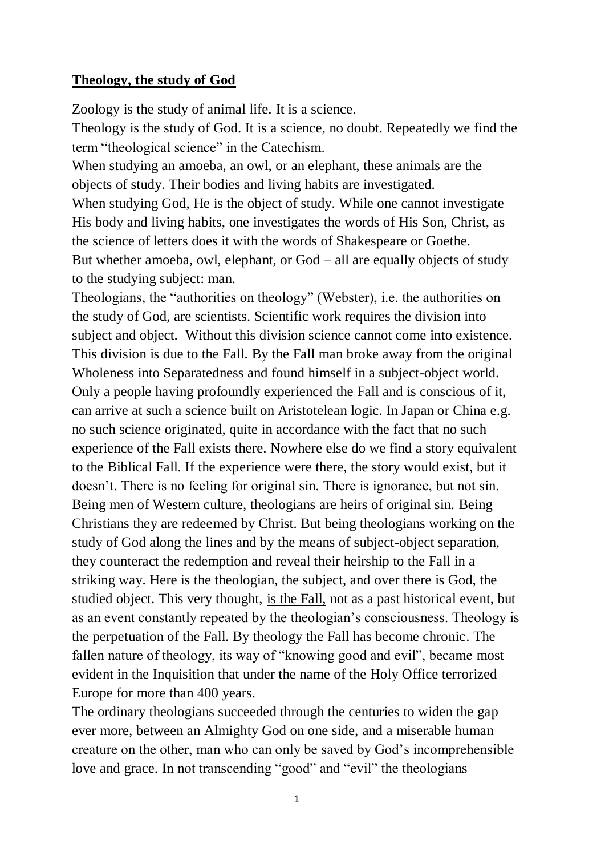## **Theology, the study of God**

Zoology is the study of animal life. It is a science.

Theology is the study of God. It is a science, no doubt. Repeatedly we find the term "theological science" in the Catechism.

When studying an amoeba, an owl, or an elephant, these animals are the objects of study. Their bodies and living habits are investigated.

When studying God, He is the object of study. While one cannot investigate His body and living habits, one investigates the words of His Son, Christ, as the science of letters does it with the words of Shakespeare or Goethe. But whether amoeba, owl, elephant, or God – all are equally objects of study to the studying subject: man.

Theologians, the "authorities on theology" (Webster), i.e. the authorities on the study of God, are scientists. Scientific work requires the division into subject and object. Without this division science cannot come into existence. This division is due to the Fall. By the Fall man broke away from the original Wholeness into Separatedness and found himself in a subject-object world. Only a people having profoundly experienced the Fall and is conscious of it, can arrive at such a science built on Aristotelean logic. In Japan or China e.g. no such science originated, quite in accordance with the fact that no such experience of the Fall exists there. Nowhere else do we find a story equivalent to the Biblical Fall. If the experience were there, the story would exist, but it doesn't. There is no feeling for original sin. There is ignorance, but not sin. Being men of Western culture, theologians are heirs of original sin. Being Christians they are redeemed by Christ. But being theologians working on the study of God along the lines and by the means of subject-object separation, they counteract the redemption and reveal their heirship to the Fall in a striking way. Here is the theologian, the subject, and over there is God, the studied object. This very thought, is the Fall, not as a past historical event, but as an event constantly repeated by the theologian's consciousness. Theology is the perpetuation of the Fall. By theology the Fall has become chronic. The fallen nature of theology, its way of "knowing good and evil", became most evident in the Inquisition that under the name of the Holy Office terrorized Europe for more than 400 years.

The ordinary theologians succeeded through the centuries to widen the gap ever more, between an Almighty God on one side, and a miserable human creature on the other, man who can only be saved by God's incomprehensible love and grace. In not transcending "good" and "evil" the theologians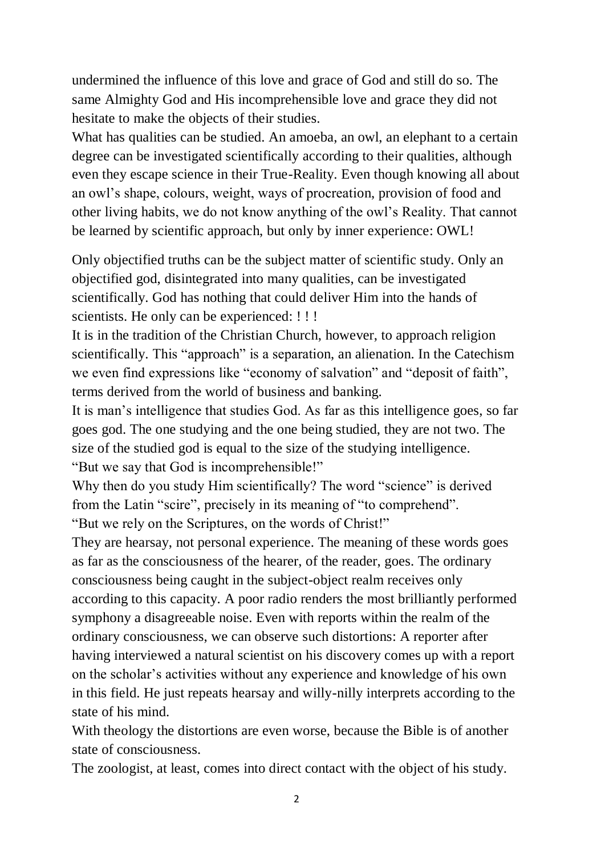undermined the influence of this love and grace of God and still do so. The same Almighty God and His incomprehensible love and grace they did not hesitate to make the objects of their studies.

What has qualities can be studied. An amoeba, an owl, an elephant to a certain degree can be investigated scientifically according to their qualities, although even they escape science in their True-Reality. Even though knowing all about an owl's shape, colours, weight, ways of procreation, provision of food and other living habits, we do not know anything of the owl's Reality. That cannot be learned by scientific approach, but only by inner experience: OWL!

Only objectified truths can be the subject matter of scientific study. Only an objectified god, disintegrated into many qualities, can be investigated scientifically. God has nothing that could deliver Him into the hands of scientists. He only can be experienced: !!!

It is in the tradition of the Christian Church, however, to approach religion scientifically. This "approach" is a separation, an alienation. In the Catechism we even find expressions like "economy of salvation" and "deposit of faith", terms derived from the world of business and banking.

It is man's intelligence that studies God. As far as this intelligence goes, so far goes god. The one studying and the one being studied, they are not two. The size of the studied god is equal to the size of the studying intelligence. "But we say that God is incomprehensible!"

Why then do you study Him scientifically? The word "science" is derived from the Latin "scire", precisely in its meaning of "to comprehend". "But we rely on the Scriptures, on the words of Christ!"

They are hearsay, not personal experience. The meaning of these words goes as far as the consciousness of the hearer, of the reader, goes. The ordinary consciousness being caught in the subject-object realm receives only according to this capacity. A poor radio renders the most brilliantly performed symphony a disagreeable noise. Even with reports within the realm of the ordinary consciousness, we can observe such distortions: A reporter after having interviewed a natural scientist on his discovery comes up with a report on the scholar's activities without any experience and knowledge of his own in this field. He just repeats hearsay and willy-nilly interprets according to the state of his mind.

With theology the distortions are even worse, because the Bible is of another state of consciousness.

The zoologist, at least, comes into direct contact with the object of his study.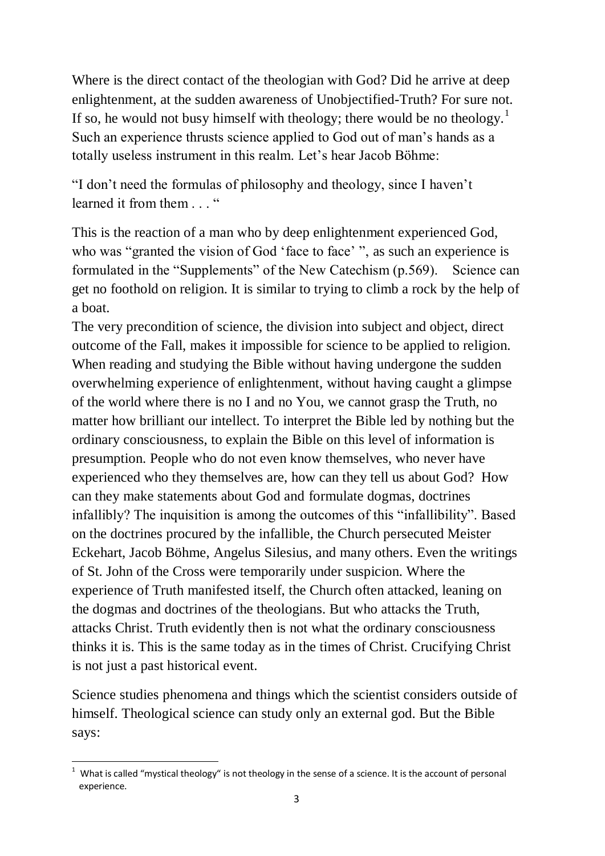Where is the direct contact of the theologian with God? Did he arrive at deep enlightenment, at the sudden awareness of Unobjectified-Truth? For sure not. If so, he would not busy himself with theology; there would be no theology.<sup>1</sup> Such an experience thrusts science applied to God out of man's hands as a totally useless instrument in this realm. Let's hear Jacob Böhme:

"I don't need the formulas of philosophy and theology, since I haven't learned it from them . . . "

This is the reaction of a man who by deep enlightenment experienced God, who was "granted the vision of God 'face to face' ", as such an experience is formulated in the "Supplements" of the New Catechism (p.569). Science can get no foothold on religion. It is similar to trying to climb a rock by the help of a boat.

The very precondition of science, the division into subject and object, direct outcome of the Fall, makes it impossible for science to be applied to religion. When reading and studying the Bible without having undergone the sudden overwhelming experience of enlightenment, without having caught a glimpse of the world where there is no I and no You, we cannot grasp the Truth, no matter how brilliant our intellect. To interpret the Bible led by nothing but the ordinary consciousness, to explain the Bible on this level of information is presumption. People who do not even know themselves, who never have experienced who they themselves are, how can they tell us about God? How can they make statements about God and formulate dogmas, doctrines infallibly? The inquisition is among the outcomes of this "infallibility". Based on the doctrines procured by the infallible, the Church persecuted Meister Eckehart, Jacob Böhme, Angelus Silesius, and many others. Even the writings of St. John of the Cross were temporarily under suspicion. Where the experience of Truth manifested itself, the Church often attacked, leaning on the dogmas and doctrines of the theologians. But who attacks the Truth, attacks Christ. Truth evidently then is not what the ordinary consciousness thinks it is. This is the same today as in the times of Christ. Crucifying Christ is not just a past historical event.

Science studies phenomena and things which the scientist considers outside of himself. Theological science can study only an external god. But the Bible says:

<sup>-</sup> $1$  What is called "mystical theology" is not theology in the sense of a science. It is the account of personal experience.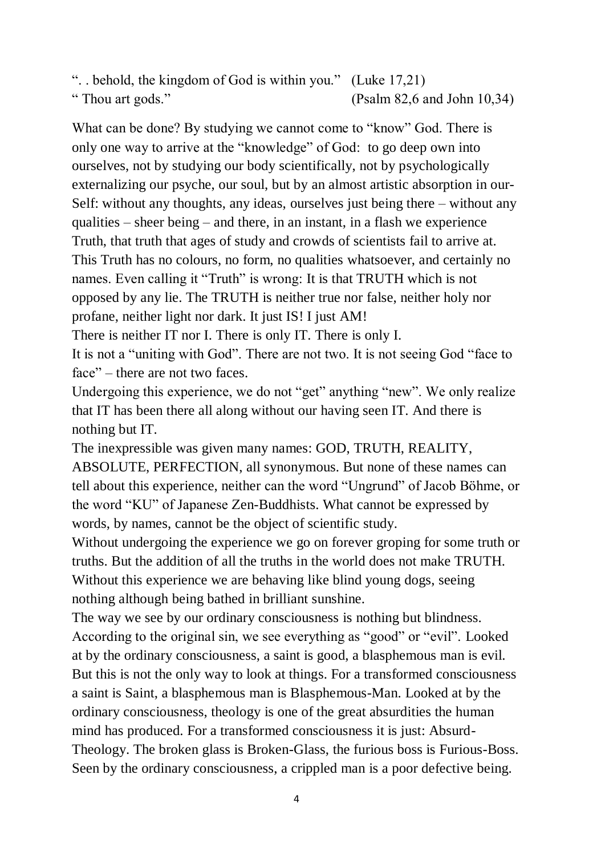". . behold, the kingdom of God is within you." (Luke 17,21) " Thou art gods." (Psalm 82,6 and John 10,34)

What can be done? By studying we cannot come to "know" God. There is only one way to arrive at the "knowledge" of God: to go deep own into ourselves, not by studying our body scientifically, not by psychologically externalizing our psyche, our soul, but by an almost artistic absorption in our-Self: without any thoughts, any ideas, ourselves just being there – without any qualities – sheer being – and there, in an instant, in a flash we experience Truth, that truth that ages of study and crowds of scientists fail to arrive at. This Truth has no colours, no form, no qualities whatsoever, and certainly no names. Even calling it "Truth" is wrong: It is that TRUTH which is not opposed by any lie. The TRUTH is neither true nor false, neither holy nor profane, neither light nor dark. It just IS! I just AM!

There is neither IT nor I. There is only IT. There is only I.

It is not a "uniting with God". There are not two. It is not seeing God "face to face" – there are not two faces.

Undergoing this experience, we do not "get" anything "new". We only realize that IT has been there all along without our having seen IT. And there is nothing but IT.

The inexpressible was given many names: GOD, TRUTH, REALITY, ABSOLUTE, PERFECTION, all synonymous. But none of these names can tell about this experience, neither can the word "Ungrund" of Jacob Böhme, or the word "KU" of Japanese Zen-Buddhists. What cannot be expressed by words, by names, cannot be the object of scientific study.

Without undergoing the experience we go on forever groping for some truth or truths. But the addition of all the truths in the world does not make TRUTH. Without this experience we are behaving like blind young dogs, seeing nothing although being bathed in brilliant sunshine.

The way we see by our ordinary consciousness is nothing but blindness. According to the original sin, we see everything as "good" or "evil". Looked at by the ordinary consciousness, a saint is good, a blasphemous man is evil. But this is not the only way to look at things. For a transformed consciousness a saint is Saint, a blasphemous man is Blasphemous-Man. Looked at by the ordinary consciousness, theology is one of the great absurdities the human mind has produced. For a transformed consciousness it is just: Absurd-Theology. The broken glass is Broken-Glass, the furious boss is Furious-Boss. Seen by the ordinary consciousness, a crippled man is a poor defective being.